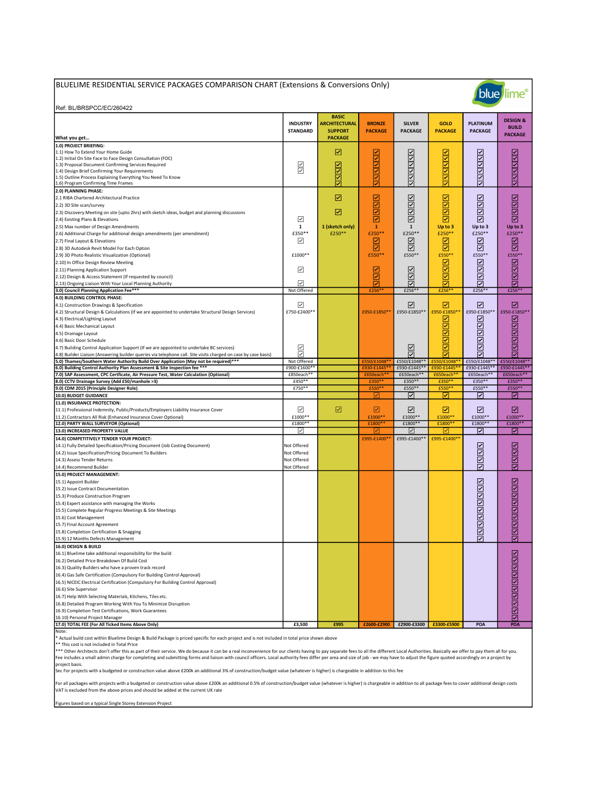| BLUELIME RESIDENTIAL SERVICE PACKAGES COMPARISON CHART (Extensions & Conversions Only)<br>blue lime®                                                                                                                                                                                                                                                                                                                                                                                                                                                                                                                                                                      |                                    |                                                                          |                                 |                          |                               |                                   |                                                       |
|---------------------------------------------------------------------------------------------------------------------------------------------------------------------------------------------------------------------------------------------------------------------------------------------------------------------------------------------------------------------------------------------------------------------------------------------------------------------------------------------------------------------------------------------------------------------------------------------------------------------------------------------------------------------------|------------------------------------|--------------------------------------------------------------------------|---------------------------------|--------------------------|-------------------------------|-----------------------------------|-------------------------------------------------------|
| Ref: BL/BRSPCC/EC/260422                                                                                                                                                                                                                                                                                                                                                                                                                                                                                                                                                                                                                                                  |                                    |                                                                          |                                 |                          |                               |                                   |                                                       |
| What you get                                                                                                                                                                                                                                                                                                                                                                                                                                                                                                                                                                                                                                                              | <b>INDUSTRY</b><br><b>STANDARD</b> | <b>BASIC</b><br><b>ARCHITECTURAL</b><br><b>SUPPORT</b><br><b>PACKAGE</b> | <b>BRONZE</b><br><b>PACKAGE</b> | <b>SILVER</b><br>PACKAGE | <b>GOLD</b><br><b>PACKAGE</b> | <b>PLATINUM</b><br><b>PACKAGE</b> | <b>DESIGN &amp;</b><br><b>BUILD</b><br><b>PACKAGE</b> |
| 1.0) PROJECT BRIEFING:                                                                                                                                                                                                                                                                                                                                                                                                                                                                                                                                                                                                                                                    |                                    |                                                                          |                                 |                          |                               |                                   |                                                       |
| 1.1) How To Extend Your Home Guide<br>1.2) Initial On Site Face to Face Design Consultation (FOC)                                                                                                                                                                                                                                                                                                                                                                                                                                                                                                                                                                         |                                    | ☑                                                                        |                                 |                          | <b>SISIE</b>                  |                                   |                                                       |
| 1.3) Proposal Document Confirming Services Required                                                                                                                                                                                                                                                                                                                                                                                                                                                                                                                                                                                                                       |                                    | ☑                                                                        | 띩                               | <u> 212121212</u>        |                               | <u>য্যযোগ্য</u>                   | $\frac{1}{2}$                                         |
| 1.4) Design Brief Confirming Your Requirements                                                                                                                                                                                                                                                                                                                                                                                                                                                                                                                                                                                                                            | $\overline{\leq}$                  | ☑                                                                        | ☑                               |                          | $\overline{\mathbf{N}}$       |                                   | $\frac{1}{2}$                                         |
| 1.5) Outline Process Explaining Everything You Need To Know<br>1.6) Program Confirming Time Frames                                                                                                                                                                                                                                                                                                                                                                                                                                                                                                                                                                        |                                    | ☑<br>⊽                                                                   | ☑<br>☑                          |                          | 罓                             |                                   | ☑                                                     |
| <b>2.0) PLANNING PHASE:</b>                                                                                                                                                                                                                                                                                                                                                                                                                                                                                                                                                                                                                                               |                                    |                                                                          |                                 |                          |                               |                                   |                                                       |
| 2.1 RIBA Chartered Architectural Practice                                                                                                                                                                                                                                                                                                                                                                                                                                                                                                                                                                                                                                 |                                    | ☑                                                                        | ☑                               | <b>NNN</b>               | $\overline{\mathbb{Z}}$       | ☑                                 |                                                       |
| 2.2) 3D Site scan/survey                                                                                                                                                                                                                                                                                                                                                                                                                                                                                                                                                                                                                                                  |                                    |                                                                          | ☑                               |                          |                               | ☑                                 | <b>ZIZIZ</b>                                          |
| 2.3) Discovery Meeting on site (upto 2hrs) with sketch ideas, budget and planning discussions<br>2.4) Existing Plans & Elevations                                                                                                                                                                                                                                                                                                                                                                                                                                                                                                                                         | ☑                                  | ☑                                                                        | ☑<br>☑                          | ☑                        | ☑<br>☑                        | ☑<br>☑                            | ☑                                                     |
| 2.5) Max number of Design Amendments                                                                                                                                                                                                                                                                                                                                                                                                                                                                                                                                                                                                                                      | 1                                  | 1 (sketch only)                                                          | $\mathbf{1}$                    | $\mathbf 1$              | Up to 3                       | Up to 3                           | Up to 3                                               |
| 2.6) Additional Charge for additional design amendments (per amendment)                                                                                                                                                                                                                                                                                                                                                                                                                                                                                                                                                                                                   | £350**                             | £250**                                                                   | £250**                          | £250**                   | £250**                        | £250**                            | £250**                                                |
| 2.7) Final Layout & Elevations                                                                                                                                                                                                                                                                                                                                                                                                                                                                                                                                                                                                                                            | ☑                                  |                                                                          | ☑                               | ☑                        | ⊻                             | ⊻                                 | ☑                                                     |
| 2.8) 3D Autodesk Revit Model For Each Option                                                                                                                                                                                                                                                                                                                                                                                                                                                                                                                                                                                                                              |                                    |                                                                          | ☑                               | ☑                        | ☑                             | ☑                                 | ☑                                                     |
| 2.9) 3D Photo Realistic Visualization (Optional)                                                                                                                                                                                                                                                                                                                                                                                                                                                                                                                                                                                                                          | £1000**                            |                                                                          | £550**                          | £550**                   | £550**                        | £550**<br>☑                       | £550**                                                |
| 2.10) In Office Design Review Meeting<br>2.11) Planning Application Support                                                                                                                                                                                                                                                                                                                                                                                                                                                                                                                                                                                               | ☑                                  |                                                                          | ☑                               |                          | 띰                             | ☑                                 | 딈                                                     |
| 2.12) Design & Access Statement (If requested by council)                                                                                                                                                                                                                                                                                                                                                                                                                                                                                                                                                                                                                 |                                    |                                                                          | न्न                             | $\overline{\mathbb{S}}$  | $\overline{\mathbf{v}}$       | ☑                                 | ☑                                                     |
| 2.13) Ongoing Liaison With Your Local Planning Authority                                                                                                                                                                                                                                                                                                                                                                                                                                                                                                                                                                                                                  | ☑                                  |                                                                          | ☑                               | ☑                        | ☑                             | ☑                                 | ☑                                                     |
| 3.0) Council Planning Application Fee***                                                                                                                                                                                                                                                                                                                                                                                                                                                                                                                                                                                                                                  | Not Offered                        |                                                                          | £256                            | £256*                    | £256*                         | £256**                            | £256**                                                |
| 4.0) BUILDING CONTROL PHASE:                                                                                                                                                                                                                                                                                                                                                                                                                                                                                                                                                                                                                                              |                                    |                                                                          |                                 | ☑                        | ☑                             | ☑                                 | ☑                                                     |
| 4.1) Construction Drawings & Specification<br>4.2) Structural Design & Calculations (If we are appointed to undertake Structural Design Services)                                                                                                                                                                                                                                                                                                                                                                                                                                                                                                                         | ☑<br>£750-£2400**                  |                                                                          | £950-£1850*                     | £950-£1850**             | £950-£1850                    | £950-£1850*                       | £950-£1850**                                          |
| 4.3) Electrical/Lighting Layout                                                                                                                                                                                                                                                                                                                                                                                                                                                                                                                                                                                                                                           |                                    |                                                                          |                                 |                          | ⊻                             | ☑                                 | K                                                     |
| 4.4) Basic Mechanical Layout                                                                                                                                                                                                                                                                                                                                                                                                                                                                                                                                                                                                                                              |                                    |                                                                          |                                 |                          | ⊽                             | ☑                                 | ☑                                                     |
| 4.5) Drainage Layout                                                                                                                                                                                                                                                                                                                                                                                                                                                                                                                                                                                                                                                      |                                    |                                                                          |                                 |                          | 힘                             | ☑                                 | 図                                                     |
| 4.6) Basic Door Schedule                                                                                                                                                                                                                                                                                                                                                                                                                                                                                                                                                                                                                                                  |                                    |                                                                          |                                 |                          | 靣                             | ☑                                 |                                                       |
| 4.7) Building Control Application Support (If we are appointed to undertake BC services)<br>4.8) Builder Liaison (Answering builder queries via telephone call. Site visits charged on case by case basis)                                                                                                                                                                                                                                                                                                                                                                                                                                                                | ☑<br>☑                             |                                                                          |                                 | ∇<br>⊽                   |                               | ☑<br>☑                            | ☑<br>⊽                                                |
| 5.0) Thames/Southern Water Authority Build Over Application (May not be required)***                                                                                                                                                                                                                                                                                                                                                                                                                                                                                                                                                                                      | Not Offered                        |                                                                          | £550/£1048*                     | £550/£1048**             | £550/£1048*                   | £550/£1048*                       | £550/£1048**                                          |
| 6.0) Building Control Authority Plan Assessment & Site Inspection fee ***                                                                                                                                                                                                                                                                                                                                                                                                                                                                                                                                                                                                 | £900-£1600*                        |                                                                          | £930-£1445*                     | £930-£1445**             | £930-£1445*                   | £930-£1445**                      | £930-£1445**                                          |
| 7.0) SAP Assessment, CPC Certficate, Air Pressure Test, Water Calculation (Optional)                                                                                                                                                                                                                                                                                                                                                                                                                                                                                                                                                                                      | £850each**                         |                                                                          | £650each*                       | £650each**               | £650each**                    | £650each**                        | £650each**                                            |
| 8.0) CCTV Drainage Survey (Add £50/manhole >3)<br>9.0) CDM 2015 (Principle Designer Role)                                                                                                                                                                                                                                                                                                                                                                                                                                                                                                                                                                                 | £450**<br>£750**                   |                                                                          | £350**<br>£550**                | £350**<br>£550**         | £350**<br>£550**              | £350**<br>£550**                  | £350**<br>£550**                                      |
| 10.0) BUDGET GUIDANCE                                                                                                                                                                                                                                                                                                                                                                                                                                                                                                                                                                                                                                                     |                                    |                                                                          | ☑                               | ⊽                        | ⊽                             | ⊽                                 | ⊽                                                     |
| 11.0) INSURANCE PROTECTION:                                                                                                                                                                                                                                                                                                                                                                                                                                                                                                                                                                                                                                               |                                    |                                                                          |                                 |                          |                               |                                   |                                                       |
| 11.1) Professional Indemnity, Public/Products/Employers Liability Insurance Cover                                                                                                                                                                                                                                                                                                                                                                                                                                                                                                                                                                                         | ☑                                  | ☑                                                                        | ☑                               | ☑                        | ☑                             | ☑                                 | ☑                                                     |
| 11.2) Contractors All Risk (Enhanced Insurance Cover Optional)                                                                                                                                                                                                                                                                                                                                                                                                                                                                                                                                                                                                            | £1000**                            |                                                                          | £1000**                         | £1000**                  | £1000**                       | £1000**                           | £1000**                                               |
| 12.0) PARTY WALL SURVEYOR (Optional)<br>13.0) INCREASED PROPERTY VALUE                                                                                                                                                                                                                                                                                                                                                                                                                                                                                                                                                                                                    | £1800**<br>⊽                       |                                                                          | £1800**<br>☑                    | £1800**<br>⊽             | £1800**<br>☑                  | £1800**<br>☑                      | £1800**<br>∇                                          |
| 14.0) COMPETITIVELY TENDER YOUR PROJECT:                                                                                                                                                                                                                                                                                                                                                                                                                                                                                                                                                                                                                                  |                                    |                                                                          | £995-£1400*                     | £995-£1400**             | £995-£1400**                  |                                   |                                                       |
| 14.1) Fully Detailed Specification/Pricing Document (Job Costing Document)                                                                                                                                                                                                                                                                                                                                                                                                                                                                                                                                                                                                | Not Offered                        |                                                                          |                                 |                          |                               |                                   | ⊻                                                     |
| 14.2) Issue Specification/Pricing Document To Builders                                                                                                                                                                                                                                                                                                                                                                                                                                                                                                                                                                                                                    | Not Offered                        |                                                                          |                                 |                          |                               |                                   | 힘                                                     |
| 14.3) Assess Tender Returns                                                                                                                                                                                                                                                                                                                                                                                                                                                                                                                                                                                                                                               | Not Offered                        |                                                                          |                                 |                          |                               | <b>ZIZIELE</b>                    | ☑                                                     |
| 14.4) Recommend Builder                                                                                                                                                                                                                                                                                                                                                                                                                                                                                                                                                                                                                                                   | Not Offered                        |                                                                          |                                 |                          |                               |                                   |                                                       |
| 15.0) PROJECT MANAGEMENT:<br>15.1) Appoint Builder                                                                                                                                                                                                                                                                                                                                                                                                                                                                                                                                                                                                                        |                                    |                                                                          |                                 |                          |                               |                                   |                                                       |
| 15.2) Issue Contract Documentation                                                                                                                                                                                                                                                                                                                                                                                                                                                                                                                                                                                                                                        |                                    |                                                                          |                                 |                          |                               |                                   |                                                       |
| 15.3) Produce Construction Program                                                                                                                                                                                                                                                                                                                                                                                                                                                                                                                                                                                                                                        |                                    |                                                                          |                                 |                          |                               |                                   |                                                       |
| 15.4) Expert assistance with managing the Works                                                                                                                                                                                                                                                                                                                                                                                                                                                                                                                                                                                                                           |                                    |                                                                          |                                 |                          |                               | <u>RIRIQIRID</u>                  | <u>NNNNNN</u>                                         |
| 15.5) Complete Regular Progress Meetings & Site Meetings<br>15.6) Cost Management                                                                                                                                                                                                                                                                                                                                                                                                                                                                                                                                                                                         |                                    |                                                                          |                                 |                          |                               |                                   |                                                       |
| 15.7) Final Account Agreement                                                                                                                                                                                                                                                                                                                                                                                                                                                                                                                                                                                                                                             |                                    |                                                                          |                                 |                          |                               |                                   |                                                       |
| 15.8) Completion Certification & Snagging                                                                                                                                                                                                                                                                                                                                                                                                                                                                                                                                                                                                                                 |                                    |                                                                          |                                 |                          |                               | <b>NNS</b>                        | 진진진                                                   |
| 15.9) 12 Months Defects Management                                                                                                                                                                                                                                                                                                                                                                                                                                                                                                                                                                                                                                        |                                    |                                                                          |                                 |                          |                               |                                   |                                                       |
| 16.0) DESIGN & BUILD                                                                                                                                                                                                                                                                                                                                                                                                                                                                                                                                                                                                                                                      |                                    |                                                                          |                                 |                          |                               |                                   |                                                       |
| 16.1) Bluelime take additional responsibility for the build                                                                                                                                                                                                                                                                                                                                                                                                                                                                                                                                                                                                               |                                    |                                                                          |                                 |                          |                               |                                   | <u>NNNNNNNNN</u>                                      |
| 16.2) Detailed Price Breakdown Of Build Cost<br>16.3) Quality Builders who have a proven track record                                                                                                                                                                                                                                                                                                                                                                                                                                                                                                                                                                     |                                    |                                                                          |                                 |                          |                               |                                   |                                                       |
| 16.4) Gas Safe Certification (Compulsory For Building Control Approval)                                                                                                                                                                                                                                                                                                                                                                                                                                                                                                                                                                                                   |                                    |                                                                          |                                 |                          |                               |                                   |                                                       |
| 16.5) NICEIC Electrical Certification (Compulsory For Building Control Approval)                                                                                                                                                                                                                                                                                                                                                                                                                                                                                                                                                                                          |                                    |                                                                          |                                 |                          |                               |                                   |                                                       |
| 16.6) Site Supervisor                                                                                                                                                                                                                                                                                                                                                                                                                                                                                                                                                                                                                                                     |                                    |                                                                          |                                 |                          |                               |                                   |                                                       |
| 16.7) Help With Selecting Materials, Kitchens, Tiles etc.                                                                                                                                                                                                                                                                                                                                                                                                                                                                                                                                                                                                                 |                                    |                                                                          |                                 |                          |                               |                                   |                                                       |
| 16.8) Detailed Program Working With You To Minimize Disruption<br>16.9) Completion Test Certifications, Work Guarantees                                                                                                                                                                                                                                                                                                                                                                                                                                                                                                                                                   |                                    |                                                                          |                                 |                          |                               |                                   |                                                       |
| 16.10) Personal Project Manager                                                                                                                                                                                                                                                                                                                                                                                                                                                                                                                                                                                                                                           |                                    |                                                                          |                                 |                          |                               |                                   | ☑                                                     |
| 17.0) TOTAL FEE (For All Ticked Items Above Only)                                                                                                                                                                                                                                                                                                                                                                                                                                                                                                                                                                                                                         | £3,500                             | £995                                                                     | £2600-£2900                     | £2900-£3300              | £3300-£5900                   | POA                               | POA                                                   |
| Note:<br>* Actual build cost within Bluelime Design & Build Package is priced specific for each project and is not included in total price shown above<br>** This cost is not included in Total Price<br>*** Other Architects don't offer this as part of their service. We do because it can be a real inconvenience for our clients having to pay separate fees to all the different Local Authorities. Basically we offer to pay the<br>Fee includes a small admin charge for completing and submitting forms and liaison with council officers. Local authority fees differ per area and size of job - we may have to adjust the figure quoted accordingly on a proje |                                    |                                                                          |                                 |                          |                               |                                   |                                                       |
| project basis.<br>Sec For projects with a budgeted or construction value above £200k an additional 3% of construction/budget value (whatever is higher) is chargeable in addition to this fee                                                                                                                                                                                                                                                                                                                                                                                                                                                                             |                                    |                                                                          |                                 |                          |                               |                                   |                                                       |

For all packages with projects with a budgeted or construction value above £200k an additional 0.5% of construction/budget value (whatever is higher) is chargeable in addition to all package fees to cover additional design

Figures based on a typical Single Storey Extension Project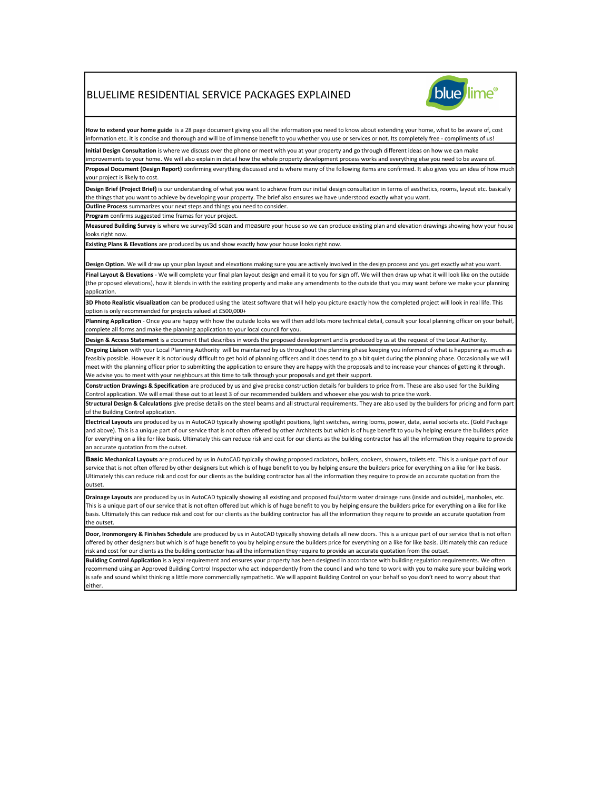### BLUELIME RESIDENTIAL SERVICE PACKAGES EXPLAINED



How to extend your home guide is a 28 page document giving you all the information you need to know about extending your home, what to be aware of, cost information etc. it is concise and thorough and will be of immense benefit to you whether you use or services or not. Its completely free - compliments of us!

Initial Design Consultation is where we discuss over the phone or meet with you at your property and go through different ideas on how we can make

improvements to your home. We will also explain in detail how the whole property development process works and everything else you need to be aware of. Proposal Document (Design Report) confirming everything discussed and is where many of the following items are confirmed. It also gives you an idea of how much your project is likely to cost.

Design Brief (Project Brief) is our understanding of what you want to achieve from our initial design consultation in terms of aesthetics, rooms, layout etc. basically the things that you want to achieve by developing your property. The brief also ensures we have understood exactly what you want.

Outline Process summarizes your next steps and things you need to consider.

Program confirms suggested time frames for your project.

Measured Building Survey is where we survey/3d scan and measure your house so we can produce existing plan and elevation drawings showing how your house looks right now.

Existing Plans & Elevations are produced by us and show exactly how your house looks right now.

Design Option. We will draw up your plan layout and elevations making sure you are actively involved in the design process and you get exactly what you want. Final Layout & Elevations - We will complete your final plan layout design and email it to you for sign off. We will then draw up what it will look like on the outside (the proposed elevations), how it blends in with the existing property and make any amendments to the outside that you may want before we make your planning application.

3D Photo Realistic visualization can be produced using the latest software that will help you picture exactly how the completed project will look in real life. This option is only recommended for projects valued at £500,000+

Planning Application - Once you are happy with how the outside looks we will then add lots more technical detail, consult your local planning officer on your behalf, complete all forms and make the planning application to your local council for you.

Design & Access Statement is a document that describes in words the proposed development and is produced by us at the request of the Local Authority.

Ongoing Liaison with your Local Planning Authority will be maintained by us throughout the planning phase keeping you informed of what is happening as much as feasibly possible. However it is notoriously difficult to get hold of planning officers and it does tend to go a bit quiet during the planning phase. Occasionally we will meet with the planning officer prior to submitting the application to ensure they are happy with the proposals and to increase your chances of getting it through. We advise you to meet with your neighbours at this time to talk through your proposals and get their support.

Construction Drawings & Specification are produced by us and give precise construction details for builders to price from. These are also used for the Building Control application. We will email these out to at least 3 of our recommended builders and whoever else you wish to price the work.

Structural Design & Calculations give precise details on the steel beams and all structural requirements. They are also used by the builders for pricing and form part of the Building Control application.

Electrical Layouts are produced by us in AutoCAD typically showing spotlight positions, light switches, wiring looms, power, data, aerial sockets etc. (Gold Package and above). This is a unique part of our service that is not often offered by other Architects but which is of huge benefit to you by helping ensure the builders price for everything on a like for like basis. Ultimately this can reduce risk and cost for our clients as the building contractor has all the information they require to provide an accurate quotation from the outset.

Basic Mechanical Layouts are produced by us in AutoCAD typically showing proposed radiators, boilers, cookers, showers, toilets etc. This is a unique part of our service that is not often offered by other designers but which is of huge benefit to you by helping ensure the builders price for everything on a like for like basis. Ultimately this can reduce risk and cost for our clients as the building contractor has all the information they require to provide an accurate quotation from the outset.

Drainage Layouts are produced by us in AutoCAD typically showing all existing and proposed foul/storm water drainage runs (inside and outside), manholes, etc. This is a unique part of our service that is not often offered but which is of huge benefit to you by helping ensure the builders price for everything on a like for like basis. Ultimately this can reduce risk and cost for our clients as the building contractor has all the information they require to provide an accurate quotation from the outset.

Door, Ironmongery & Finishes Schedule are produced by us in AutoCAD typically showing details all new doors. This is a unique part of our service that is not often offered by other designers but which is of huge benefit to you by helping ensure the builders price for everything on a like for like basis. Ultimately this can reduce risk and cost for our clients as the building contractor has all the information they require to provide an accurate quotation from the outset.

Building Control Application is a legal requirement and ensures your property has been designed in accordance with building regulation requirements. We often recommend using an Approved Building Control Inspector who act independently from the council and who tend to work with you to make sure your building work is safe and sound whilst thinking a little more commercially sympathetic. We will appoint Building Control on your behalf so you don't need to worry about that either.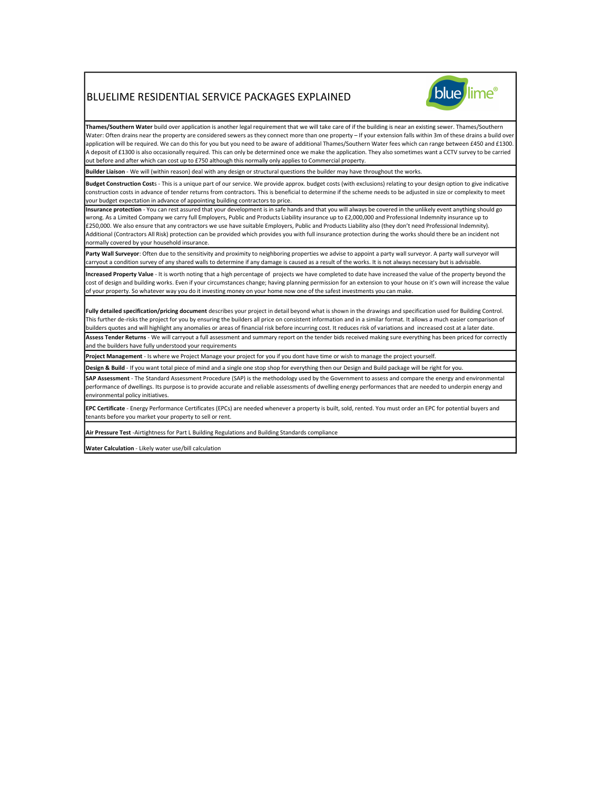### BLUELIME RESIDENTIAL SERVICE PACKAGES EXPLAINED



Thames/Southern Water build over application is another legal requirement that we will take care of if the building is near an existing sewer. Thames/Southern Water: Often drains near the property are considered sewers as they connect more than one property - If your extension falls within 3m of these drains a build ove application will be required. We can do this for you but you need to be aware of additional Thames/Southern Water fees which can range between £450 and £1300 A deposit of £1300 is also occasionally required. This can only be determined once we make the application. They also sometimes want a CCTV survey to be carried out before and after which can cost up to £750 although this normally only applies to Commercial property.

Builder Liaison - We will (within reason) deal with any design or structural questions the builder may have throughout the works.

Budget Construction Costs - This is a unique part of our service. We provide approx. budget costs (with exclusions) relating to your design option to give indicative construction costs in advance of tender returns from contractors. This is beneficial to determine if the scheme needs to be adjusted in size or complexity to meet your budget expectation in advance of appointing building contractors to price.

Insurance protection - You can rest assured that your development is in safe hands and that you will always be covered in the unlikely event anything should go wrong. As a Limited Company we carry full Employers, Public and Products Liability insurance up to £2,000,000 and Professional Indemnity insurance up to £250,000. We also ensure that any contractors we use have suitable Employers, Public and Products Liability also (they don't need Professional Indemnity). Additional (Contractors All Risk) protection can be provided which provides you with full insurance protection during the works should there be an incident not normally covered by your household insurance.

Party Wall Surveyor: Often due to the sensitivity and proximity to neighboring properties we advise to appoint a party wall surveyor. A party wall surveyor will rout a condition survey of any shared walls to determine if any damage is caused as a result of the works. It is not always necessary but is advisable

Increased Property Value - It is worth noting that a high percentage of projects we have completed to date have increased the value of the property beyond the cost of design and building works. Even if your circumstances change; having planning permission for an extension to your house on it's own will increase the value of your property. So whatever way you do it investing money on your home now one of the safest investments you can make.

Fully detailed specification/pricing document describes your project in detail beyond what is shown in the drawings and specification used for Building Control. This further de-risks the project for you by ensuring the builders all price on consistent information and in a similar format. It allows a much easier comparison of builders quotes and will highlight any anomalies or areas of financial risk before incurring cost. It reduces risk of variations and increased cost at a later date. Assess Tender Returns - We will carryout a full assessment and summary report on the tender bids received making sure everything has been priced for correctly and the builders have fully understood your requirements

Project Management - Is where we Project Manage your project for you if you dont have time or wish to manage the project yourself.

Design & Build - If you want total piece of mind and a single one stop shop for everything then our Design and Build package will be right for you.

SAP Assessment - The Standard Assessment Procedure (SAP) is the methodology used by the Government to assess and compare the energy and environmental performance of dwellings. Its purpose is to provide accurate and reliable assessments of dwelling energy performances that are needed to underpin energy and environmental policy initiatives.

EPC Certificate - Energy Performance Certificates (EPCs) are needed whenever a property is built, sold, rented. You must order an EPC for potential buyers and tenants before you market your property to sell or rent.

Air Pressure Test -Airtightness for Part L Building Regulations and Building Standards compliance

Water Calculation - Likely water use/bill calculation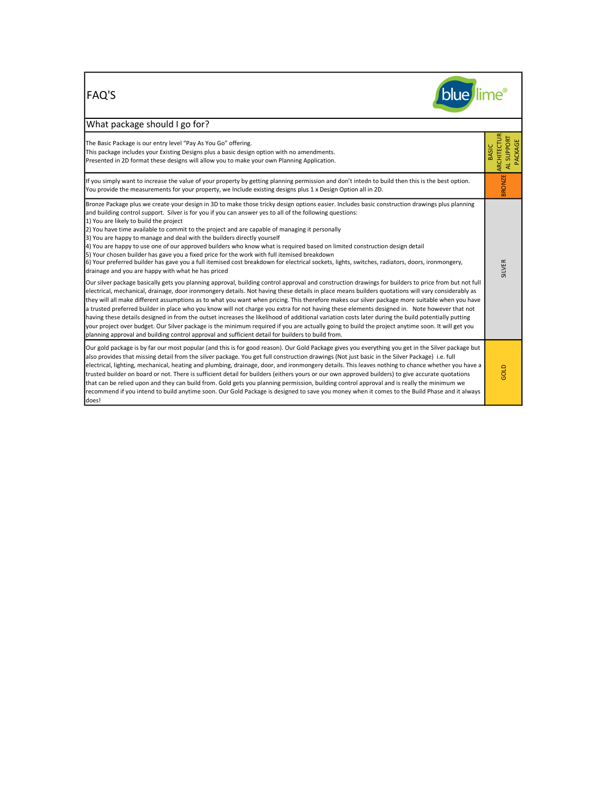# FAQ'S



### What package should I go for?

| The Basic Package is our entry level "Pay As You Go" offering.<br>This package includes your Existing Designs plus a basic design option with no amendments.<br>Presented in 2D format these designs will allow you to make your own Planning Application.                                                                                                                                                                                                                                                                                                                                                                                                                                                                                                                                                                                                                                                                                                                                                                                                                                                                                                                                                                                                                                                                                                                                                                                                                                                                                                                                                                                                                                                                                                                                                                                                                                                                                            | ARCHITECTUR<br>AL SUPPORT<br>PACKAGE<br><b>BASIC</b><br>₹ |  |
|-------------------------------------------------------------------------------------------------------------------------------------------------------------------------------------------------------------------------------------------------------------------------------------------------------------------------------------------------------------------------------------------------------------------------------------------------------------------------------------------------------------------------------------------------------------------------------------------------------------------------------------------------------------------------------------------------------------------------------------------------------------------------------------------------------------------------------------------------------------------------------------------------------------------------------------------------------------------------------------------------------------------------------------------------------------------------------------------------------------------------------------------------------------------------------------------------------------------------------------------------------------------------------------------------------------------------------------------------------------------------------------------------------------------------------------------------------------------------------------------------------------------------------------------------------------------------------------------------------------------------------------------------------------------------------------------------------------------------------------------------------------------------------------------------------------------------------------------------------------------------------------------------------------------------------------------------------|-----------------------------------------------------------|--|
| If you simply want to increase the value of your property by getting planning permission and don't intedn to build then this is the best option.<br>You provide the measurements for your property, we Include existing designs plus 1 x Design Option all in 2D.                                                                                                                                                                                                                                                                                                                                                                                                                                                                                                                                                                                                                                                                                                                                                                                                                                                                                                                                                                                                                                                                                                                                                                                                                                                                                                                                                                                                                                                                                                                                                                                                                                                                                     | <b>BRONZE</b>                                             |  |
| Bronze Package plus we create your design in 3D to make those tricky design options easier. Includes basic construction drawings plus planning<br>and building control support. Silver is for you if you can answer yes to all of the following questions:<br>1) You are likely to build the project<br>2) You have time available to commit to the project and are capable of managing it personally<br>3) You are happy to manage and deal with the builders directly yourself<br>4) You are happy to use one of our approved builders who know what is required based on limited construction design detail<br>5) Your chosen builder has gave you a fixed price for the work with full itemised breakdown<br>[6] Your preferred builder has gave you a full itemised cost breakdown for electrical sockets, lights, switches, radiators, doors, ironmongery,<br>drainage and you are happy with what he has priced<br>Our silver package basically gets you planning approval, building control approval and construction drawings for builders to price from but not full<br>electrical, mechanical, drainage, door ironmongery details. Not having these details in place means builders quotations will vary considerably as<br>they will all make different assumptions as to what you want when pricing. This therefore makes our silver package more suitable when you have<br>a trusted preferred builder in place who you know will not charge you extra for not having these elements designed in. Note however that not<br>having these details designed in from the outset increases the likelihood of additional variation costs later during the build potentially putting<br>your project over budget. Our Silver package is the minimum required if you are actually going to build the project anytime soon. It will get you<br>planning approval and building control approval and sufficient detail for builders to build from. | <b>SILVER</b>                                             |  |
| Our gold package is by far our most popular (and this is for good reason). Our Gold Package gives you everything you get in the Silver package but<br>also provides that missing detail from the silver package. You get full construction drawings (Not just basic in the Silver Package) i.e. full<br>electrical, lighting, mechanical, heating and plumbing, drainage, door, and ironmongery details. This leaves nothing to chance whether you have a<br>trusted builder on board or not. There is sufficient detail for builders (eithers yours or our own approved builders) to give accurate quotations<br>that can be relied upon and they can build from. Gold gets you planning permission, building control approval and is really the minimum we<br>recommend if you intend to build anytime soon. Our Gold Package is designed to save you money when it comes to the Build Phase and it always<br>does!                                                                                                                                                                                                                                                                                                                                                                                                                                                                                                                                                                                                                                                                                                                                                                                                                                                                                                                                                                                                                                 | GOLD                                                      |  |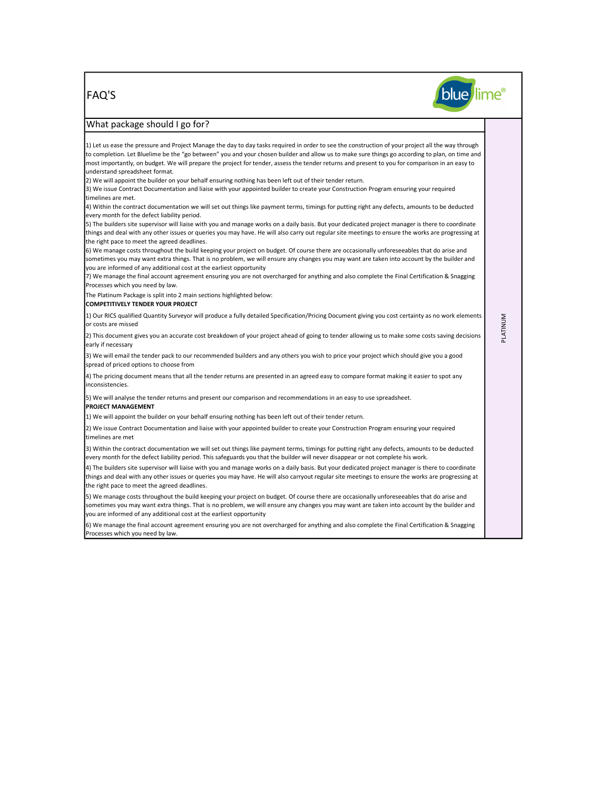## FAQ'S



#### What package should I go for? PLATINUM PROJECT MANAGEMENT 1) We will appoint the builder on your behalf ensuring nothing has been left out of their tender return. 2) We issue Contract Documentation and liaise with your appointed builder to create your Construction Program ensuring your required timelines are met 3) Within the contract documentation we will set out things like payment terms, timings for putting right any defects, amounts to be deducted every month for the defect liability period. This safeguards you that the builder will never disappear or not complete his work. 4) The builders site supervisor will liaise with you and manage works on a daily basis. But your dedicated project manager is there to coordinate things and deal with any other issues or queries you may have. He will also carryout regular site meetings to ensure the works are progressing at the right pace to meet the agreed deadlines. 1) Our RICS qualified Quantity Surveyor will produce a fully detailed Specification/Pricing Document giving you cost certainty as no work elements or costs are missed 2) This document gives you an accurate cost breakdown of your project ahead of going to tender allowing us to make some costs saving decisions early if necessary 3) We will email the tender pack to our recommended builders and any others you wish to price your project which should give you a good spread of priced options to choose from 4) The pricing document means that all the tender returns are presented in an agreed easy to compare format making it easier to spot any inconsistencies. 5) We will analyse the tender returns and present our comparison and recommendations in an easy to use spreadsheet. 5) We manage costs throughout the build keeping your project on budget. Of course there are occasionally unforeseeables that do arise and sometimes you may want extra things. That is no problem, we will ensure any changes you may want are taken into account by the builder and you are informed of any additional cost at the earliest opportunity 6) We manage the final account agreement ensuring you are not overcharged for anything and also complete the Final Certification & Snagging Processes which you need by law. 1) Let us ease the pressure and Project Manage the day to day tasks required in order to see the construction of your project all the way through to completion. Let Bluelime be the "go between" you and your chosen builder and allow us to make sure things go according to plan, on time and most importantly, on budget. We will prepare the project for tender, assess the tender returns and present to you for comparison in an easy to understand spreadsheet format. 2) We will appoint the builder on your behalf ensuring nothing has been left out of their tender return. 3) We issue Contract Documentation and liaise with your appointed builder to create your Construction Program ensuring your required timelines are met. 4) Within the contract documentation we will set out things like payment terms, timings for putting right any defects, amounts to be deducted every month for the defect liability period. 5) The builders site supervisor will liaise with you and manage works on a daily basis. But your dedicated project manager is there to coordinate things and deal with any other issues or queries you may have. He will also carry out regular site meetings to ensure the works are progressing at the right pace to meet the agreed deadlines. 6) We manage costs throughout the build keeping your project on budget. Of course there are occasionally unforeseeables that do arise and sometimes you may want extra things. That is no problem, we will ensure any changes you may want are taken into account by the builder and you are informed of any additional cost at the earliest opportunity 7) We manage the final account agreement ensuring you are not overcharged for anything and also complete the Final Certification & Snagging Processes which you need by law. The Platinum Package is split into 2 main sections highlighted below: COMPETITIVELY TENDER YOUR PROJECT